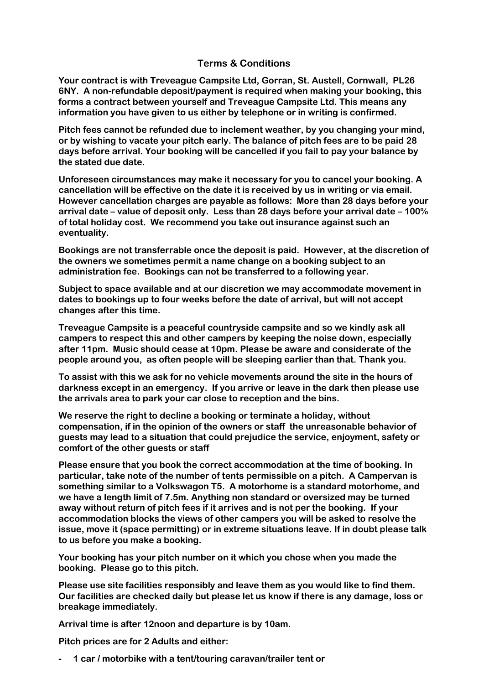## **Terms & Conditions**

**Your contract is with Treveague Campsite Ltd, Gorran, St. Austell, Cornwall, PL26 6NY. A non-refundable deposit/payment is required when making your booking, this forms a contract between yourself and Treveague Campsite Ltd. This means any information you have given to us either by telephone or in writing is confirmed.**

**Pitch fees cannot be refunded due to inclement weather, by you changing your mind, or by wishing to vacate your pitch early. The balance of pitch fees are to be paid 28 days before arrival. Your booking will be cancelled if you fail to pay your balance by the stated due date.**

**Unforeseen circumstances may make it necessary for you to cancel your booking. A cancellation will be effective on the date it is received by us in writing or via email. However cancellation charges are payable as follows: More than 28 days before your arrival date – value of deposit only. Less than 28 days before your arrival date – 100% of total holiday cost. We recommend you take out insurance against such an eventuality.**

**Bookings are not transferrable once the deposit is paid. However, at the discretion of the owners we sometimes permit a name change on a booking subject to an administration fee. Bookings can not be transferred to a following year.**

**Subject to space available and at our discretion we may accommodate movement in dates to bookings up to four weeks before the date of arrival, but will not accept changes after this time.**

**Treveague Campsite is a peaceful countryside campsite and so we kindly ask all campers to respect this and other campers by keeping the noise down, especially after 11pm. Music should cease at 10pm. Please be aware and considerate of the people around you, as often people will be sleeping earlier than that. Thank you.**

**To assist with this we ask for no vehicle movements around the site in the hours of darkness except in an emergency. If you arrive or leave in the dark then please use the arrivals area to park your car close to reception and the bins.**

**We reserve the right to decline a booking or terminate a holiday, without compensation, if in the opinion of the owners or staff the unreasonable behavior of guests may lead to a situation that could prejudice the service, enjoyment, safety or comfort of the other guests or staff**

**Please ensure that you book the correct accommodation at the time of booking. In particular, take note of the number of tents permissible on a pitch. A Campervan is something similar to a Volkswagon T5. A motorhome is a standard motorhome, and we have a length limit of 7.5m. Anything non standard or oversized may be turned away without return of pitch fees if it arrives and is not per the booking. If your accommodation blocks the views of other campers you will be asked to resolve the issue, move it (space permitting) or in extreme situations leave. If in doubt please talk to us before you make a booking.**

**Your booking has your pitch number on it which you chose when you made the booking. Please go to this pitch.**

**Please use site facilities responsibly and leave them as you would like to find them. Our facilities are checked daily but please let us know if there is any damage, loss or breakage immediately.**

**Arrival time is after 12noon and departure is by 10am.** 

**Pitch prices are for 2 Adults and either:**

**- 1 car / motorbike with a tent/touring caravan/trailer tent or**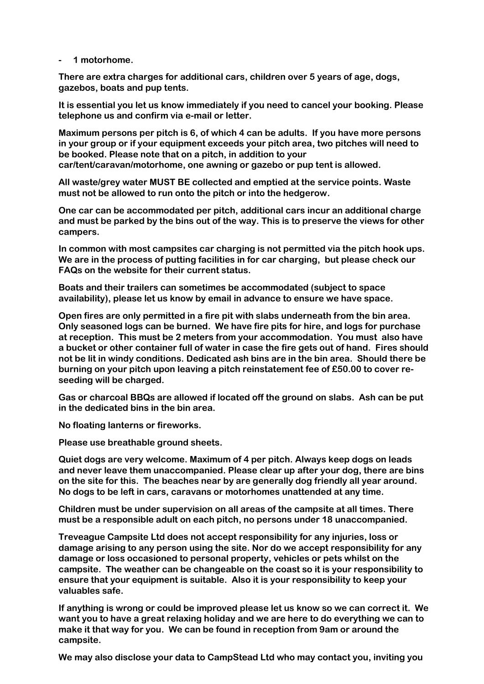**- 1 motorhome.**

**There are extra charges for additional cars, children over 5 years of age, dogs, gazebos, boats and pup tents.**

**It is essential you let us know immediately if you need to cancel your booking. Please telephone us and confirm via e-mail or letter.**

**Maximum persons per pitch is 6, of which 4 can be adults. If you have more persons in your group or if your equipment exceeds your pitch area, two pitches will need to be booked. Please note that on a pitch, in addition to your car/tent/caravan/motorhome, one awning or gazebo or pup tent is allowed.**

**All waste/grey water MUST BE collected and emptied at the service points. Waste must not be allowed to run onto the pitch or into the hedgerow.**

**One car can be accommodated per pitch, additional cars incur an additional charge and must be parked by the bins out of the way. This is to preserve the views for other campers.**

**In common with most campsites car charging is not permitted via the pitch hook ups. We are in the process of putting facilities in for car charging, but please check our FAQs on the website for their current status.**

**Boats and their trailers can sometimes be accommodated (subject to space availability), please let us know by email in advance to ensure we have space.**

**Open fires are only permitted in a fire pit with slabs underneath from the bin area. Only seasoned logs can be burned. We have fire pits for hire, and logs for purchase at reception. This must be 2 meters from your accommodation. You must also have a bucket or other container full of water in case the fire gets out of hand. Fires should not be lit in windy conditions. Dedicated ash bins are in the bin area. Should there be burning on your pitch upon leaving a pitch reinstatement fee of £50.00 to cover reseeding will be charged.**

**Gas or charcoal BBQs are allowed if located off the ground on slabs. Ash can be put in the dedicated bins in the bin area.** 

**No floating lanterns or fireworks.** 

**Please use breathable ground sheets.**

**Quiet dogs are very welcome. Maximum of 4 per pitch. Always keep dogs on leads and never leave them unaccompanied. Please clear up after your dog, there are bins on the site for this. The beaches near by are generally dog friendly all year around. No dogs to be left in cars, caravans or motorhomes unattended at any time.**

**Children must be under supervision on all areas of the campsite at all times. There must be a responsible adult on each pitch, no persons under 18 unaccompanied.**

**Treveague Campsite Ltd does not accept responsibility for any injuries, loss or damage arising to any person using the site. Nor do we accept responsibility for any damage or loss occasioned to personal property, vehicles or pets whilst on the campsite. The weather can be changeable on the coast so it is your responsibility to ensure that your equipment is suitable. Also it is your responsibility to keep your valuables safe.**

**If anything is wrong or could be improved please let us know so we can correct it. We want you to have a great relaxing holiday and we are here to do everything we can to make it that way for you. We can be found in reception from 9am or around the campsite.**

**We may also disclose your data to CampStead Ltd who may contact you, inviting you**